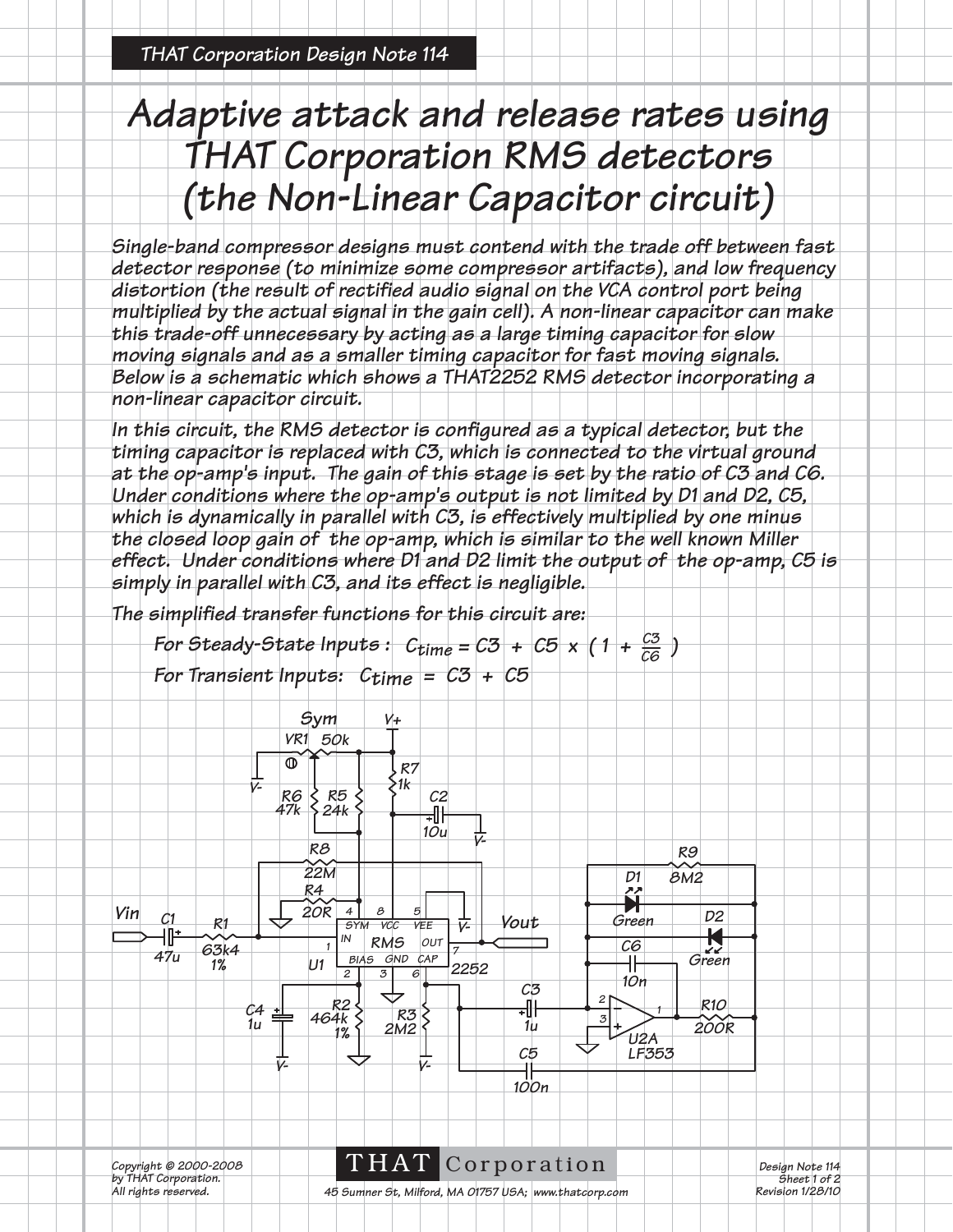## *Adaptive attack and release rates using THAT Corporation RMS detectors (the Non-Linear Capacitor circuit)*

*Single-band compressor designs must contend with the trade off between fast detector response (to minimize some compressor artifacts), and low frequency*  distortion (the result of rectified audio signal on the VCA control port being *multiplied by the actual signal in the gain cell). A non-linear capacitor can make this trade-off unnecessary by acting as a large timing capacitor for slow moving signals and as a smaller timing capacitor for fast moving signals. Below is a schematic which shows a THAT2252 RMS detector incorporating a non-linear capacitor circuit.* 

In this circuit, the RMS detector is configured as a typical detector, but the *timing capacitor is replaced with C3, which is connected to the virtual ground at the op-amp's input. The gain of this stage is set by the ratio of C3 and C6. Under conditions where the op-amp's output is not limited by D1 and D2, C5,*  which is dynamically in parallel with C3, is effectively multiplied by one minus *the closed loop gain of the op-amp, which is similar to the well known Miller effect. Under conditions where D1 and D2 limit the output of the op-amp, C5 is simply in parallel with C3, and its effect is negligible.*

*The simplified transfer functions for this circuit are:*

*For Steady-State Inputs:*  $C_{time} = C3 + C5 \times (1 + \frac{C3}{C6})$ 

*V+*

*For Transient Inputs: Ctime = C3 + C5* 

*VR1 50k*

*Sym*



*Copyright © 2000-2008 by THAT Corporation. All rights reserved.*

THAT Corporation

*Design Note 114 Sheet 1 of 2 Revision 1/28/10*

*45 Sumner St, Milford, MA 01757 USA; www.thatcorp.com*